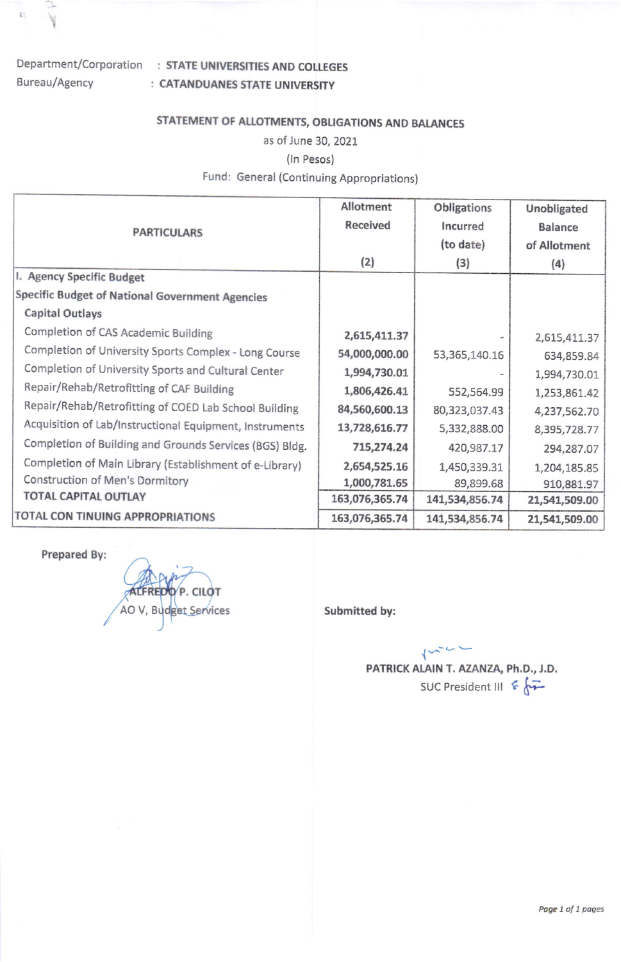# Bureau/Agency

创

### Department/Corporation : STATE UNIVERSITIES AND COLLEGES : CATANDUANES STATE UNIVERSITY

# STATEMENT OF ALLOTMENTS, OBLIGATIONS AND BALANCES

as of June 30, 20Zl

#### (In Pesos)

## Fund: General (Continuing Appropriations)

| <b>PARTICULARS</b>                                      | Allotment       | Obligations    | Unobligated    |
|---------------------------------------------------------|-----------------|----------------|----------------|
|                                                         | <b>Received</b> | Incurred       | <b>Balance</b> |
|                                                         |                 | (to date)      | of Allotment   |
|                                                         | (2)             | (3)            | (4)            |
| I. Agency Specific Budget                               |                 |                |                |
| Specific Budget of National Government Agencies         |                 |                |                |
| <b>Capital Outlays</b>                                  |                 |                |                |
| Completion of CAS Academic Building                     | 2,615,411.37    |                | 2,615,411.37   |
| Completion of University Sports Complex - Long Course   | 54,000,000.00   | 53,365,140.16  | 634,859.84     |
| Completion of University Sports and Cultural Center     | 1,994,730.01    |                | 1,994,730.01   |
| Repair/Rehab/Retrofitting of CAF Building               | 1,806,426.41    | 552,564.99     | 1,253,861.42   |
| Repair/Rehab/Retrofitting of COED Lab School Building   | 84,560,600.13   | 80,323,037.43  | 4,237,562.70   |
| Acquisition of Lab/Instructional Equipment, Instruments | 13,728,616.77   | 5,332,888.00   | 8,395,728.77   |
| Completion of Building and Grounds Services (BGS) Bldg. | 715,274.24      | 420,987.17     | 294,287.07     |
| Completion of Main Library (Establishment of e-Library) | 2,654,525.16    | 1,450,339.31   | 1,204,185.85   |
| Construction of Men's Dormitory                         | 1,000,781.65    | 89,899.68      | 910,881.97     |
| <b>TOTAL CAPITAL OUTLAY</b>                             | 163,076,365.74  | 141,534,856.74 | 21,541,509.00  |
| TOTAL CON TINUING APPROPRIATIONS                        | 163,076,365.74  | 141,534,856.74 | 21,541,509.00  |

Prepared By:

P. CI AO V, Budget Services Submitted by:

 $\{\sim\}$ PATRICK ALAIN T. AZANZA, Ph.D., J.D. SUC President III  $65$